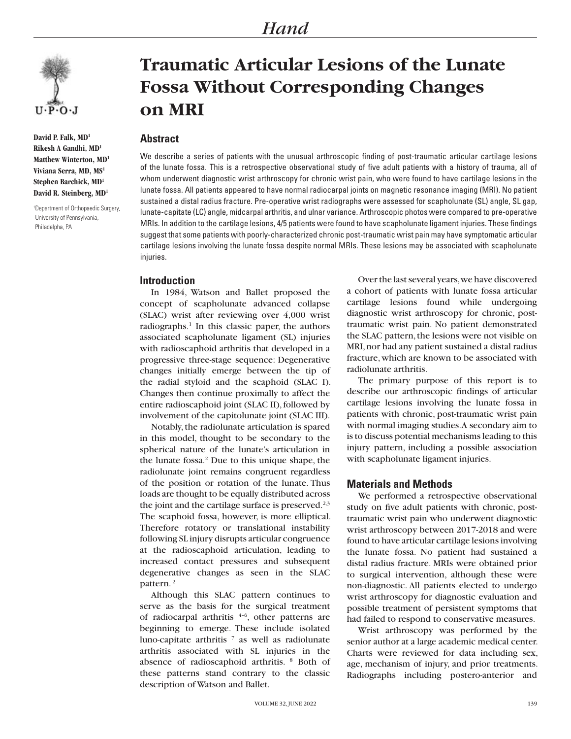

**David P. Falk, MD1 Rikesh A Gandhi, MD1 Matthew Winterton, MD1 Viviana Serra, MD, MS1 Stephen Barchick, MD1 David R. Steinberg, MD1**

1 Department of Orthopaedic Surgery, University of Pennsylvania, Philadelpha, PA

# **Traumatic Articular Lesions of the Lunate Fossa Without Corresponding Changes on MRI**

# **Abstract**

We describe a series of patients with the unusual arthroscopic finding of post-traumatic articular cartilage lesions of the lunate fossa. This is a retrospective observational study of five adult patients with a history of trauma, all of whom underwent diagnostic wrist arthroscopy for chronic wrist pain, who were found to have cartilage lesions in the lunate fossa. All patients appeared to have normal radiocarpal joints on magnetic resonance imaging (MRI). No patient sustained a distal radius fracture. Pre-operative wrist radiographs were assessed for scapholunate (SL) angle, SL gap, lunate-capitate (LC) angle, midcarpal arthritis, and ulnar variance. Arthroscopic photos were compared to pre-operative MRIs. In addition to the cartilage lesions, 4/5 patients were found to have scapholunate ligament injuries. These findings suggest that some patients with poorly-characterized chronic post-traumatic wrist pain may have symptomatic articular cartilage lesions involving the lunate fossa despite normal MRIs. These lesions may be associated with scapholunate injuries.

## **Introduction**

In 1984, Watson and Ballet proposed the concept of scapholunate advanced collapse (SLAC) wrist after reviewing over 4,000 wrist radiographs.<sup>1</sup> In this classic paper, the authors associated scapholunate ligament (SL) injuries with radioscaphoid arthritis that developed in a progressive three-stage sequence: Degenerative changes initially emerge between the tip of the radial styloid and the scaphoid (SLAC I). Changes then continue proximally to affect the entire radioscaphoid joint (SLAC II), followed by involvement of the capitolunate joint (SLAC III).

Notably, the radiolunate articulation is spared in this model, thought to be secondary to the spherical nature of the lunate's articulation in the lunate fossa.<sup>2</sup> Due to this unique shape, the radiolunate joint remains congruent regardless of the position or rotation of the lunate. Thus loads are thought to be equally distributed across the joint and the cartilage surface is preserved. $2,3$ The scaphoid fossa, however, is more elliptical. Therefore rotatory or translational instability following SL injury disrupts articular congruence at the radioscaphoid articulation, leading to increased contact pressures and subsequent degenerative changes as seen in the SLAC pattern. 2

Although this SLAC pattern continues to serve as the basis for the surgical treatment of radiocarpal arthritis  $4-6$ , other patterns are beginning to emerge. These include isolated luno-capitate arthritis  $\frac{7}{1}$  as well as radiolunate arthritis associated with SL injuries in the absence of radioscaphoid arthritis. <sup>8</sup> Both of these patterns stand contrary to the classic description of Watson and Ballet.

Over the last several years, we have discovered a cohort of patients with lunate fossa articular cartilage lesions found while undergoing diagnostic wrist arthroscopy for chronic, posttraumatic wrist pain. No patient demonstrated the SLAC pattern, the lesions were not visible on MRI, nor had any patient sustained a distal radius fracture, which are known to be associated with radiolunate arthritis.

The primary purpose of this report is to describe our arthroscopic findings of articular cartilage lesions involving the lunate fossa in patients with chronic, post-traumatic wrist pain with normal imaging studies. A secondary aim to is to discuss potential mechanisms leading to this injury pattern, including a possible association with scapholunate ligament injuries.

## **Materials and Methods**

We performed a retrospective observational study on five adult patients with chronic, posttraumatic wrist pain who underwent diagnostic wrist arthroscopy between 2017-2018 and were found to have articular cartilage lesions involving the lunate fossa. No patient had sustained a distal radius fracture. MRIs were obtained prior to surgical intervention, although these were non-diagnostic. All patients elected to undergo wrist arthroscopy for diagnostic evaluation and possible treatment of persistent symptoms that had failed to respond to conservative measures.

Wrist arthroscopy was performed by the senior author at a large academic medical center. Charts were reviewed for data including sex, age, mechanism of injury, and prior treatments. Radiographs including postero-anterior and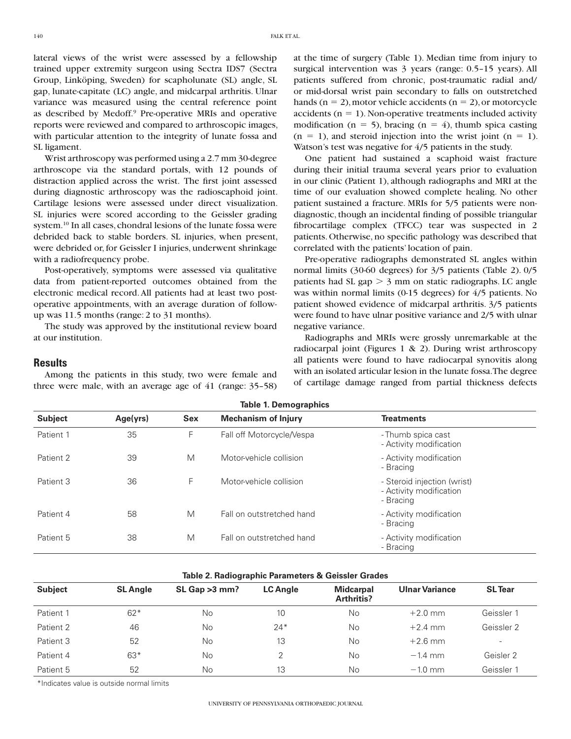lateral views of the wrist were assessed by a fellowship trained upper extremity surgeon using Sectra IDS7 (Sectra Group, Linköping, Sweden) for scapholunate (SL) angle, SL gap, lunate-capitate (LC) angle, and midcarpal arthritis. Ulnar variance was measured using the central reference point as described by Medoff.<sup>9</sup> Pre-operative MRIs and operative reports were reviewed and compared to arthroscopic images, with particular attention to the integrity of lunate fossa and SL ligament.

Wrist arthroscopy was performed using a 2.7 mm 30-degree arthroscope via the standard portals, with 12 pounds of distraction applied across the wrist. The first joint assessed during diagnostic arthroscopy was the radioscaphoid joint. Cartilage lesions were assessed under direct visualization. SL injuries were scored according to the Geissler grading system.10 In all cases, chondral lesions of the lunate fossa were debrided back to stable borders. SL injuries, when present, were debrided or, for Geissler I injuries, underwent shrinkage with a radiofrequency probe.

Post-operatively, symptoms were assessed via qualitative data from patient-reported outcomes obtained from the electronic medical record. All patients had at least two postoperative appointments, with an average duration of followup was 11.5 months (range: 2 to 31 months).

The study was approved by the institutional review board at our institution.

#### **Results**

Among the patients in this study, two were female and three were male, with an average age of 41 (range: 35–58)

at the time of surgery (Table 1). Median time from injury to surgical intervention was 3 years (range: 0.5–15 years). All patients suffered from chronic, post-traumatic radial and/ or mid-dorsal wrist pain secondary to falls on outstretched hands ( $n = 2$ ), motor vehicle accidents ( $n = 2$ ), or motorcycle accidents ( $n = 1$ ). Non-operative treatments included activity modification (n = 5), bracing (n = 4), thumb spica casting  $(n = 1)$ , and steroid injection into the wrist joint  $(n = 1)$ . Watson's test was negative for 4/5 patients in the study.

One patient had sustained a scaphoid waist fracture during their initial trauma several years prior to evaluation in our clinic (Patient 1), although radiographs and MRI at the time of our evaluation showed complete healing. No other patient sustained a fracture. MRIs for 5/5 patients were nondiagnostic, though an incidental finding of possible triangular fibrocartilage complex (TFCC) tear was suspected in 2 patients. Otherwise, no specific pathology was described that correlated with the patients' location of pain.

Pre-operative radiographs demonstrated SL angles within normal limits (30-60 degrees) for 3/5 patients (Table 2). 0/5 patients had SL gap  $> 3$  mm on static radiographs. LC angle was within normal limits (0-15 degrees) for 4/5 patients. No patient showed evidence of midcarpal arthritis. 3/5 patients were found to have ulnar positive variance and 2/5 with ulnar negative variance.

Radiographs and MRIs were grossly unremarkable at the radiocarpal joint (Figures 1 & 2). During wrist arthroscopy all patients were found to have radiocarpal synovitis along with an isolated articular lesion in the lunate fossa. The degree of cartilage damage ranged from partial thickness defects

| <b>Table 1. Demographics</b> |          |            |                            |                                                                     |  |  |  |  |
|------------------------------|----------|------------|----------------------------|---------------------------------------------------------------------|--|--|--|--|
| <b>Subject</b>               | Age(yrs) | <b>Sex</b> | <b>Mechanism of Injury</b> | <b>Treatments</b>                                                   |  |  |  |  |
| Patient 1                    | 35       | F          | Fall off Motorcycle/Vespa  | - Thumb spica cast<br>- Activity modification                       |  |  |  |  |
| Patient 2                    | 39       | M          | Motor-vehicle collision    | - Activity modification<br>- Bracing                                |  |  |  |  |
| Patient 3                    | 36       | F          | Motor-vehicle collision    | - Steroid injection (wrist)<br>- Activity modification<br>- Bracing |  |  |  |  |
| Patient 4                    | 58       | M          | Fall on outstretched hand  | - Activity modification<br>- Bracing                                |  |  |  |  |
| Patient 5                    | 38       | M          | Fall on outstretched hand  | - Activity modification<br>- Bracing                                |  |  |  |  |

#### **Table 2. Radiographic Parameters & Geissler Grades**

| <b>Subject</b> | <b>SL Angle</b> | $SL$ Gap $>3$ mm? | <b>LC Angle</b> | <b>Midcarpal</b><br>Arthritis? | <b>Ulnar Variance</b> | <b>SL</b> Tear           |
|----------------|-----------------|-------------------|-----------------|--------------------------------|-----------------------|--------------------------|
| Patient 1      | $62*$           | No                | 10              | No                             | $+2.0$ mm             | Geissler 1               |
| Patient 2      | 46              | No                | $24*$           | <b>No</b>                      | $+2.4$ mm             | Geissler 2               |
| Patient 3      | 52              | No                | 13              | <b>No</b>                      | $+2.6$ mm             | $\overline{\phantom{0}}$ |
| Patient 4      | $63*$           | No                | ↷               | <b>No</b>                      | $-1.4$ mm             | Geisler 2                |
| Patient 5      | 52              | No                | 13              | No                             | $-1.0$ mm             | Geissler 1               |

\*Indicates value is outside normal limits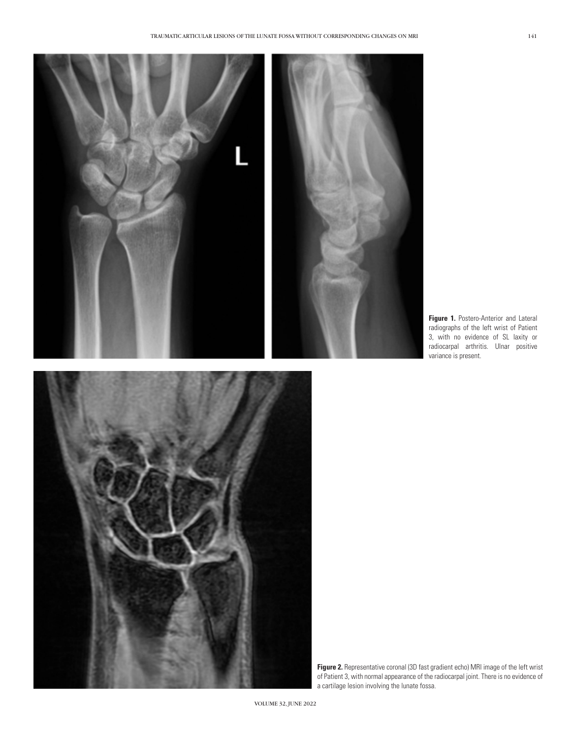

**Figure 1.** Postero-Anterior and Lateral radiographs of the left wrist of Patient 3, with no evidence of SL laxity or radiocarpal arthritis. Ulnar positive variance is present.



**Figure 2.** Representative coronal (3D fast gradient echo) MRI image of the left wrist of Patient 3, with normal appearance of the radiocarpal joint. There is no evidence of a cartilage lesion involving the lunate fossa.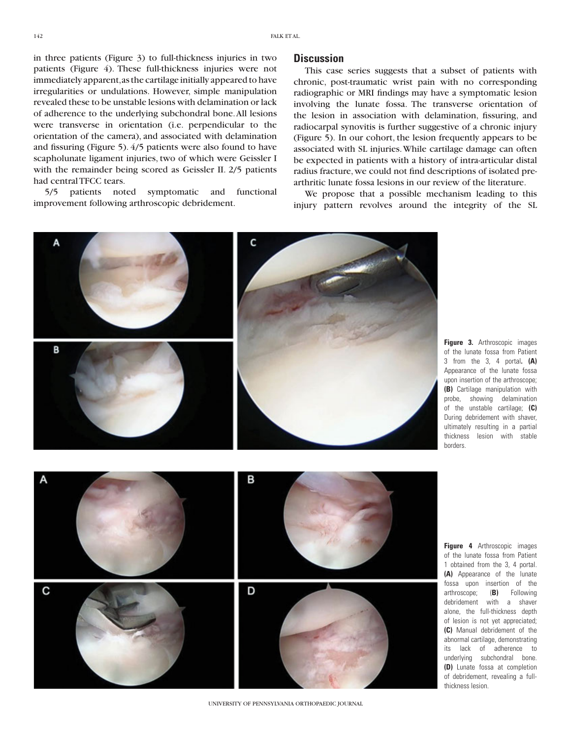in three patients (Figure 3) to full-thickness injuries in two patients (Figure 4). These full-thickness injuries were not immediately apparent, as the cartilage initially appeared to have irregularities or undulations. However, simple manipulation revealed these to be unstable lesions with delamination or lack of adherence to the underlying subchondral bone. All lesions were transverse in orientation (i.e. perpendicular to the orientation of the camera), and associated with delamination and fissuring (Figure 5). 4/5 patients were also found to have scapholunate ligament injuries, two of which were Geissler I with the remainder being scored as Geissler II. 2/5 patients had central TFCC tears.

5/5 patients noted symptomatic and functional improvement following arthroscopic debridement.

#### **Discussion**

This case series suggests that a subset of patients with chronic, post-traumatic wrist pain with no corresponding radiographic or MRI findings may have a symptomatic lesion involving the lunate fossa. The transverse orientation of the lesion in association with delamination, fissuring, and radiocarpal synovitis is further suggestive of a chronic injury (Figure 5). In our cohort, the lesion frequently appears to be associated with SL injuries. While cartilage damage can often be expected in patients with a history of intra-articular distal radius fracture, we could not find descriptions of isolated prearthritic lunate fossa lesions in our review of the literature.

We propose that a possible mechanism leading to this injury pattern revolves around the integrity of the SL



C

**Figure 3.** Arthroscopic images of the lunate fossa from Patient 3 from the 3, 4 portal**. (A)** Appearance of the lunate fossa upon insertion of the arthroscope; **(B)** Cartilage manipulation with probe, showing delamination of the unstable cartilage; **(C)** During debridement with shaver, ultimately resulting in a partial thickness lesion with stable borders.

**Figure 4** Arthroscopic images of the lunate fossa from Patient 1 obtained from the 3, 4 portal. **(A)** Appearance of the lunate fossa upon insertion of the arthroscope; (**B)** Following debridement with a shaver alone, the full-thickness depth of lesion is not yet appreciated; **(C)** Manual debridement of the abnormal cartilage, demonstrating its lack of adherence to underlying subchondral bone. **(D)** Lunate fossa at completion of debridement, revealing a fullthickness lesion.

A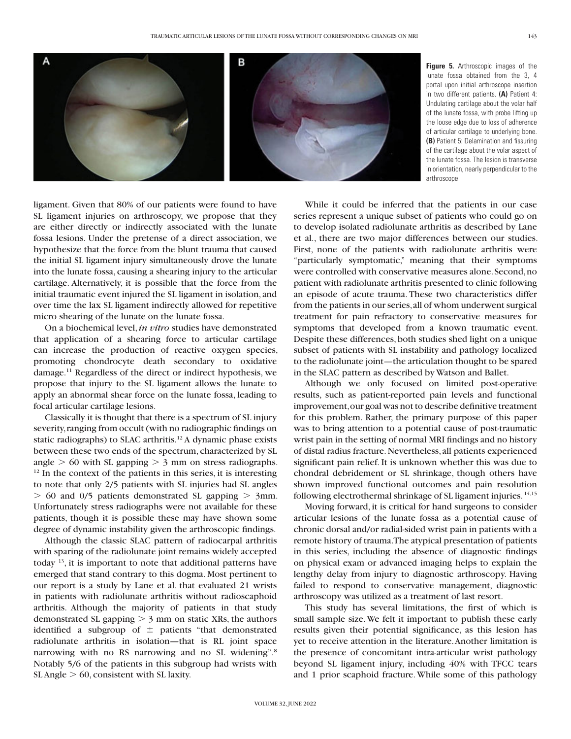

**Figure 5.** Arthroscopic images of the lunate fossa obtained from the 3, 4 portal upon initial arthroscope insertion in two different patients. **(A)** Patient 4: Undulating cartilage about the volar half of the lunate fossa, with probe lifting up the loose edge due to loss of adherence of articular cartilage to underlying bone. **(B)** Patient 5: Delamination and fissuring of the cartilage about the volar aspect of the lunate fossa. The lesion is transverse in orientation, nearly perpendicular to the arthroscope

ligament. Given that 80% of our patients were found to have SL ligament injuries on arthroscopy, we propose that they are either directly or indirectly associated with the lunate fossa lesions. Under the pretense of a direct association, we hypothesize that the force from the blunt trauma that caused the initial SL ligament injury simultaneously drove the lunate into the lunate fossa, causing a shearing injury to the articular cartilage. Alternatively, it is possible that the force from the initial traumatic event injured the SL ligament in isolation, and over time the lax SL ligament indirectly allowed for repetitive micro shearing of the lunate on the lunate fossa.

On a biochemical level, *in vitro* studies have demonstrated that application of a shearing force to articular cartilage can increase the production of reactive oxygen species, promoting chondrocyte death secondary to oxidative damage.11 Regardless of the direct or indirect hypothesis, we propose that injury to the SL ligament allows the lunate to apply an abnormal shear force on the lunate fossa, leading to focal articular cartilage lesions.

Classically it is thought that there is a spectrum of SL injury severity, ranging from occult (with no radiographic findings on static radiographs) to SLAC arthritis.<sup>12</sup> A dynamic phase exists between these two ends of the spectrum, characterized by SL angle  $> 60$  with SL gapping  $> 3$  mm on stress radiographs. <sup>12</sup> In the context of the patients in this series, it is interesting to note that only 2/5 patients with SL injuries had SL angles  $> 60$  and 0/5 patients demonstrated SL gapping  $> 3$ mm. Unfortunately stress radiographs were not available for these patients, though it is possible these may have shown some degree of dynamic instability given the arthroscopic findings.

Although the classic SLAC pattern of radiocarpal arthritis with sparing of the radiolunate joint remains widely accepted today 13, it is important to note that additional patterns have emerged that stand contrary to this dogma. Most pertinent to our report is a study by Lane et al. that evaluated 21 wrists in patients with radiolunate arthritis without radioscaphoid arthritis. Although the majority of patients in that study demonstrated SL gapping  $> 3$  mm on static XRs, the authors identified a subgroup of  $\pm$  patients "that demonstrated radiolunate arthritis in isolation—that is RL joint space narrowing with no RS narrowing and no SL widening".<sup>8</sup> Notably 5/6 of the patients in this subgroup had wrists with  $SL$  Angle  $> 60$ , consistent with SL laxity.

While it could be inferred that the patients in our case series represent a unique subset of patients who could go on to develop isolated radiolunate arthritis as described by Lane et al., there are two major differences between our studies. First, none of the patients with radiolunate arthritis were "particularly symptomatic," meaning that their symptoms were controlled with conservative measures alone. Second, no patient with radiolunate arthritis presented to clinic following an episode of acute trauma. These two characteristics differ from the patients in our series, all of whom underwent surgical treatment for pain refractory to conservative measures for symptoms that developed from a known traumatic event. Despite these differences, both studies shed light on a unique subset of patients with SL instability and pathology localized to the radiolunate joint—the articulation thought to be spared in the SLAC pattern as described by Watson and Ballet.

Although we only focused on limited post-operative results, such as patient-reported pain levels and functional improvement, our goal was not to describe definitive treatment for this problem. Rather, the primary purpose of this paper was to bring attention to a potential cause of post-traumatic wrist pain in the setting of normal MRI findings and no history of distal radius fracture. Nevertheless, all patients experienced significant pain relief. It is unknown whether this was due to chondral debridement or SL shrinkage, though others have shown improved functional outcomes and pain resolution following electrothermal shrinkage of SL ligament injuries. 14,15

Moving forward, it is critical for hand surgeons to consider articular lesions of the lunate fossa as a potential cause of chronic dorsal and/or radial-sided wrist pain in patients with a remote history of trauma. The atypical presentation of patients in this series, including the absence of diagnostic findings on physical exam or advanced imaging helps to explain the lengthy delay from injury to diagnostic arthroscopy. Having failed to respond to conservative management, diagnostic arthroscopy was utilized as a treatment of last resort.

This study has several limitations, the first of which is small sample size. We felt it important to publish these early results given their potential significance, as this lesion has yet to receive attention in the literature. Another limitation is the presence of concomitant intra-articular wrist pathology beyond SL ligament injury, including 40% with TFCC tears and 1 prior scaphoid fracture. While some of this pathology